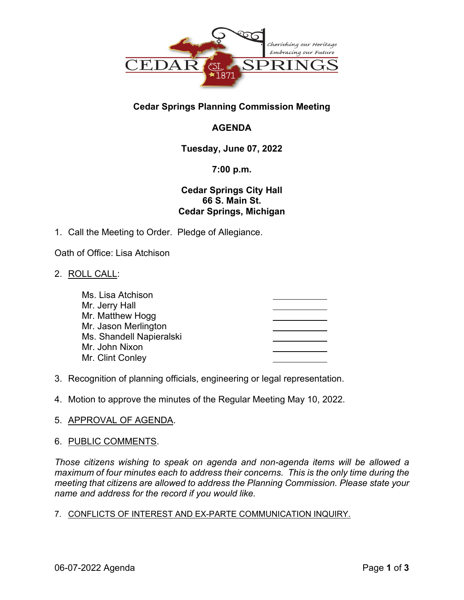

# **Cedar Springs Planning Commission Meeting**

# **AGENDA**

## **Tuesday, June 07, 2022**

### **7:00 p.m.**

### **Cedar Springs City Hall 66 S. Main St. Cedar Springs, Michigan**

1. Call the Meeting to Order. Pledge of Allegiance.

Oath of Office: Lisa Atchison

2. ROLL CALL:

| Ms. Lisa Atchison        |  |
|--------------------------|--|
| Mr. Jerry Hall           |  |
| Mr. Matthew Hogg         |  |
| Mr. Jason Merlington     |  |
| Ms. Shandell Napieralski |  |
| Mr. John Nixon           |  |
| Mr. Clint Conley         |  |

- 3. Recognition of planning officials, engineering or legal representation.
- 4. Motion to approve the minutes of the Regular Meeting May 10, 2022.

### 5. APPROVAL OF AGENDA.

### 6. PUBLIC COMMENTS.

*Those citizens wishing to speak on agenda and non-agenda items will be allowed a maximum of four minutes each to address their concerns. This is the only time during the meeting that citizens are allowed to address the Planning Commission. Please state your name and address for the record if you would like.* 

### 7. CONFLICTS OF INTEREST AND EX-PARTE COMMUNICATION INQUIRY.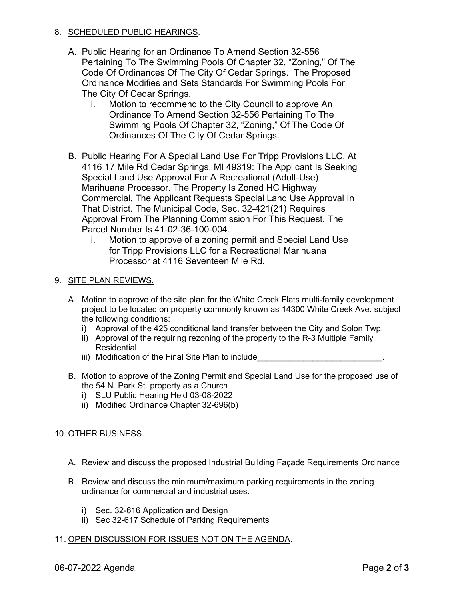#### 8. SCHEDULED PUBLIC HEARINGS.

- A. Public Hearing for an Ordinance To Amend Section 32-556 Pertaining To The Swimming Pools Of Chapter 32, "Zoning," Of The Code Of Ordinances Of The City Of Cedar Springs. The Proposed Ordinance Modifies and Sets Standards For Swimming Pools For The City Of Cedar Springs.
	- i. Motion to recommend to the City Council to approve An Ordinance To Amend Section 32-556 Pertaining To The Swimming Pools Of Chapter 32, "Zoning," Of The Code Of Ordinances Of The City Of Cedar Springs.
- B. Public Hearing For A Special Land Use For Tripp Provisions LLC, At 4116 17 Mile Rd Cedar Springs, MI 49319: The Applicant Is Seeking Special Land Use Approval For A Recreational (Adult-Use) Marihuana Processor. The Property Is Zoned HC Highway Commercial, The Applicant Requests Special Land Use Approval In That District. The Municipal Code, Sec. 32-421(21) Requires Approval From The Planning Commission For This Request. The Parcel Number Is 41-02-36-100-004.
	- i. Motion to approve of a zoning permit and Special Land Use for Tripp Provisions LLC for a Recreational Marihuana Processor at 4116 Seventeen Mile Rd.

#### 9. SITE PLAN REVIEWS.

- A. Motion to approve of the site plan for the White Creek Flats multi-family development project to be located on property commonly known as 14300 White Creek Ave. subject the following conditions:
	- i) Approval of the 425 conditional land transfer between the City and Solon Twp.
	- ii) Approval of the requiring rezoning of the property to the R-3 Multiple Family Residential
	- iii) Modification of the Final Site Plan to include
- B. Motion to approve of the Zoning Permit and Special Land Use for the proposed use of the 54 N. Park St. property as a Church
	- i) SLU Public Hearing Held 03-08-2022
	- ii) Modified Ordinance Chapter 32-696(b)

#### 10. OTHER BUSINESS.

- A. Review and discuss the proposed Industrial Building Façade Requirements Ordinance
- B. Review and discuss the minimum/maximum parking requirements in the zoning ordinance for commercial and industrial uses.
	- i) Sec. 32-616 Application and Design
	- ii) Sec 32-617 Schedule of Parking Requirements
- 11. OPEN DISCUSSION FOR ISSUES NOT ON THE AGENDA.